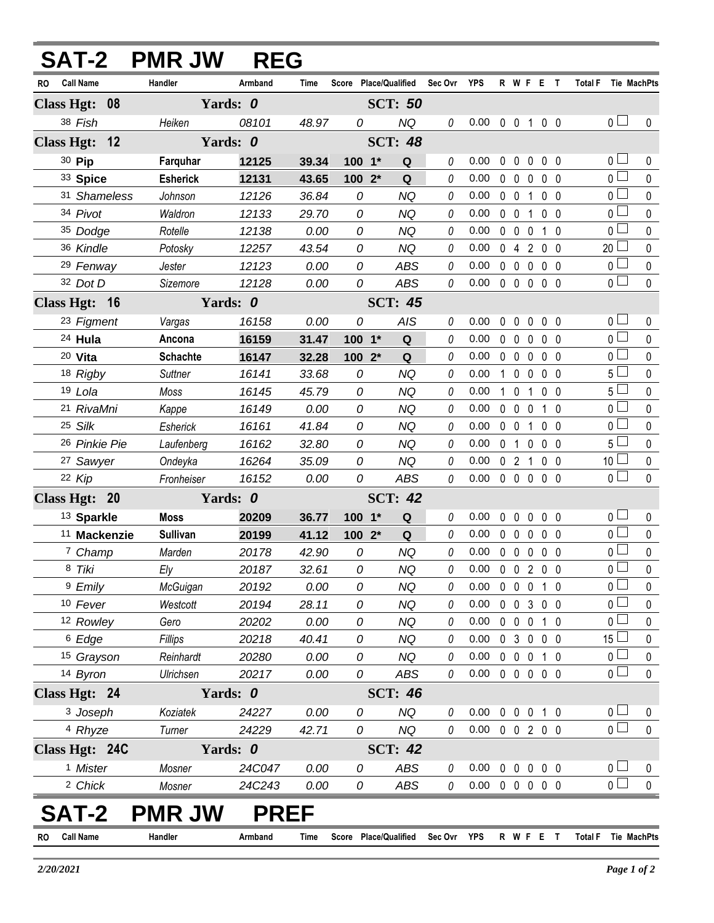|                           |                           | <b>SAT-2 PMR JW</b> | <b>REG</b> |                |                |                       |             |                            |              |                |                |                   |                       |             |
|---------------------------|---------------------------|---------------------|------------|----------------|----------------|-----------------------|-------------|----------------------------|--------------|----------------|----------------|-------------------|-----------------------|-------------|
| RO                        | <b>Call Name</b>          | Handler             | Armband    | Time           |                | Score Place/Qualified | Sec Ovr YPS |                            |              |                |                | R W F E T         | Total F Tie MachPts   |             |
|                           | Class Hgt: 08<br>Yards: 0 |                     |            | <b>SCT: 50</b> |                |                       |             |                            |              |                |                |                   |                       |             |
|                           | 38 Fish                   | Heiken              | 08101      | 48.97          | 0              | <b>NQ</b>             | 0           | 0.00                       |              | $0 \t0 \t1$    |                | 0 <sub>0</sub>    | 0 <sub>1</sub>        | 0           |
| <b>Class Hgt:</b>         | 12                        | Yards: 0            |            |                |                | <b>SCT: 48</b>        |             |                            |              |                |                |                   |                       |             |
|                           | 30 Pip                    | Farquhar            | 12125      | 39.34          | 100 1*         | Q                     | 0           | 0.00                       | $\mathbf{0}$ | $\mathbf 0$    | 0              | $0\quad 0$        | 0 <sup>1</sup>        | 0           |
|                           | 33 Spice                  | <b>Esherick</b>     | 12131      | 43.65          | 100 2*         | Q                     | 0           | 0.00                       |              | 0 <sub>0</sub> | $\mathbf{0}$   | 0 <sub>0</sub>    | $\overline{0}$        | $\mathbf 0$ |
|                           | 31 Shameless              | Johnson             | 12126      | 36.84          | 0              | <b>NQ</b>             | 0           | 0.00                       |              | $0\quad 0$     | 1              | 0 <sub>0</sub>    | $\overline{0}$        | 0           |
|                           | 34 Pivot                  | Waldron             | 12133      | 29.70          | 0              | <b>NQ</b>             | 0           | 0.00                       |              | $0\quad 0$     | 1              | 0 <sub>0</sub>    | 0 <sub>0</sub>        | $\pmb{0}$   |
|                           | 35 Dodge                  | Rotelle             | 12138      | 0.00           | 0              | <b>NQ</b>             | 0           | 0.00                       | $\mathbf 0$  | $\overline{0}$ | $\mathbf 0$    | $1\quad0$         | 0 <sup>1</sup>        | 0           |
|                           | 36 Kindle                 | Potosky             | 12257      | 43.54          | 0              | <b>NQ</b>             | 0           | 0.00                       | $\mathbf 0$  | $\overline{4}$ | $\overline{2}$ | 0 <sub>0</sub>    | $20$ $\Box$           | $\pmb{0}$   |
|                           | 29 Fenway                 | Jester              | 12123      | 0.00           | 0              | <b>ABS</b>            | 0           | 0.00                       | $\mathbf 0$  | $\mathbf 0$    | $\mathbf 0$    | $0\quad 0$        | 0 <sub>0</sub>        | $\pmb{0}$   |
|                           | 32 Dot D                  | Sizemore            | 12128      | 0.00           | 0              | <b>ABS</b>            | 0           | 0.00                       |              |                |                | 00000             | $\overline{0}$ $\Box$ | $\mathbf 0$ |
| Class Hgt: 16             |                           |                     | Yards: 0   |                |                | <b>SCT: 45</b>        |             |                            |              |                |                |                   |                       |             |
|                           | 23 Figment                | Vargas              | 16158      | 0.00           | 0              | AIS                   | 0           | 0.00                       | 0            | $\mathbf 0$    | 0              | $0\quad 0$        | $\overline{0}$        | 0           |
|                           | 24 Hula                   | Ancona              | 16159      | 31.47          | $100 - 1*$     | $\mathbf Q$           | 0           | 0.00                       | $\mathbf 0$  | $\mathbf 0$    | $\mathbf 0$    | 0 <sub>0</sub>    | $\overline{0}$        | $\pmb{0}$   |
|                           | 20 Vita                   | <b>Schachte</b>     | 16147      | 32.28          | $1002*$        | Q                     | 0           | 0.00                       |              | $0\quad 0$     | $\mathbf{0}$   | 0 <sub>0</sub>    | 0 <sup>1</sup>        | 0           |
|                           | 18 Rigby                  | <b>Suttner</b>      | 16141      | 33.68          | 0              | <b>NQ</b>             | 0           | 0.00                       |              | $1\quad0$      | $\mathbf 0$    | 0 <sub>0</sub>    | $5\Box$               | $\mathbf 0$ |
|                           | 19 Lola                   | Moss                | 16145      | 45.79          | 0              | <b>NQ</b>             | 0           | 0.00                       |              | $1\quad 0$     | 1              | 0 <sub>0</sub>    | 5 <sub>1</sub>        | 0           |
|                           | 21 RivaMni                | Kappe               | 16149      | 0.00           | 0              | <b>NQ</b>             | 0           | 0.00                       | $\mathbf 0$  | $\mathbf 0$    | $\mathbf 0$    | $1\quad0$         | $\overline{0}$        | $\mathbf 0$ |
|                           | 25 Silk                   | Esherick            | 16161      | 41.84          | 0              | <b>NQ</b>             | 0           | 0.00                       |              | $0\quad 0$     | 1              | 0 <sub>0</sub>    | 0 <sup>1</sup>        | 0           |
|                           | 26 Pinkie Pie             | Laufenberg          | 16162      | 32.80          | 0              | <b>NQ</b>             | 0           | 0.00                       | $\mathbf{0}$ | $\overline{1}$ | $\mathbf 0$    | 0 <sub>0</sub>    | 5 <sub>1</sub>        | $\mathbf 0$ |
|                           | <sup>27</sup> Sawyer      | Ondeyka             | 16264      | 35.09          | 0              | <b>NQ</b>             | 0           | 0.00                       |              | 0 <sub>2</sub> | $\mathbf{1}$   | $0\quad 0$        | 10 <sup>2</sup>       | $\pmb{0}$   |
|                           | 22 Kip                    | Fronheiser          | 16152      | 0.00           | 0              | <b>ABS</b>            | 0           | 0.00                       |              |                |                | 00000             | $\overline{0}$        | $\mathbf 0$ |
| Class Hgt: 20             |                           |                     | Yards: 0   |                | <b>SCT: 42</b> |                       |             |                            |              |                |                |                   |                       |             |
|                           | 13 Sparkle                | <b>Moss</b>         | 20209      | 36.77          | 100 1*         | Q                     | 0           | 0.00                       | $\mathbf 0$  | $\mathbf 0$    | 0              | $0\quad 0$        | 0 <sub>0</sub>        | 0           |
|                           | 11 Mackenzie              | Sullivan            | 20199      | 41.12          | $1002*$        | Q                     | $\theta$    | 0.00                       |              | $0\quad 0$     | $\mathbf 0$    | 0 <sub>0</sub>    | $\overline{0}$        | $\pmb{0}$   |
|                           | 7 Champ                   | Marden              | 20178      | 42.90          | 0              | <b>NQ</b>             | 0           | 0.00                       |              |                |                | 00000             | 0 <sub>0</sub>        | $\pmb{0}$   |
|                           | 8 Tiki                    | Ely                 | 20187      | 32.61          | 0              | <b>NQ</b>             | 0           | $0.00 \t0 \t0 \t2 \t0 \t0$ |              |                |                |                   | $\overline{0}$        | $\pmb{0}$   |
|                           | <sup>9</sup> Emily        | McGuigan            | 20192      | 0.00           | 0              | <b>NQ</b>             | 0           | 0.00                       |              |                |                | 0 0 0 1 0         | 0 <sub>1</sub>        | 0           |
|                           | 10 Fever                  | Westcott            | 20194      | 28.11          | 0              | <b>NQ</b>             | 0           | 0.00                       |              |                |                | 0 0 3 0 0         | $\overline{0}$        | 0           |
|                           | 12 Rowley                 | Gero                | 20202      | 0.00           | 0              | <b>NQ</b>             | 0           | 0.00                       |              | $0\quad 0$     | $\mathbf 0$    | 1 0               | 0 <sub>0</sub>        | 0           |
|                           | <sup>6</sup> Edge         | Fillips             | 20218      | 40.41          | 0              | <b>NQ</b>             | 0           | 0.00                       |              | 0 <sub>3</sub> |                | $0\quad 0\quad 0$ | $15\perp$             | 0           |
|                           | 15 Grayson                | Reinhardt           | 20280      | 0.00           | 0              | <b>NQ</b>             | 0           | 0.00                       |              |                |                | 0 0 0 1 0         | $0-$                  | 0           |
|                           | 14 Byron                  | <b>Ulrichsen</b>    | 20217      | 0.00           | 0              | ABS                   | 0           | 0.00                       |              |                |                | 00000             | 0 <sub>1</sub>        | 0           |
| Class Hgt: 24<br>Yards: 0 |                           |                     |            |                | <b>SCT: 46</b> |                       |             |                            |              |                |                |                   |                       |             |
|                           | 3 Joseph                  | Koziatek            | 24227      | 0.00           | 0              | NQ                    | 0           | 0.00                       |              |                |                | 0 0 0 1 0         | $0-$                  | 0           |
|                           | 4 Rhyze                   | Turner              | 24229      | 42.71          | 0              | NQ                    | 0           | $0.00 \t0 \t0 \t2 \t0 \t0$ |              |                |                |                   | $\overline{0}$        | $\mathbf 0$ |
|                           | Class Hgt: 24C            | Yards: 0            |            |                |                | <b>SCT: 42</b>        |             |                            |              |                |                |                   |                       |             |
|                           | <sup>1</sup> Mister       | Mosner              | 24C047     | 0.00           | 0              | ABS                   | 0           | 0.00                       |              | $0\quad 0$     |                | $0\quad 0\quad 0$ | 0 <sub>1</sub>        | 0           |
|                           | <sup>2</sup> Chick        | Mosner              | 24C243     | 0.00           | 0              | ABS                   | 0           | $0.00 \t0 \t0 \t0 \t0 \t0$ |              |                |                |                   | $\overline{0}$        | $\pmb{0}$   |
|                           | T-2                       | <b>PMR JW</b>       |            | <b>PREF</b>    |                |                       |             |                            |              |                |                |                   |                       |             |
| RO                        | <b>Call Name</b>          | Handler             | Armband    | Time           |                | Score Place/Qualified | Sec Ovr     | <b>YPS</b>                 |              |                |                | R W F E T         | <b>Total F</b>        | Tie MachPts |